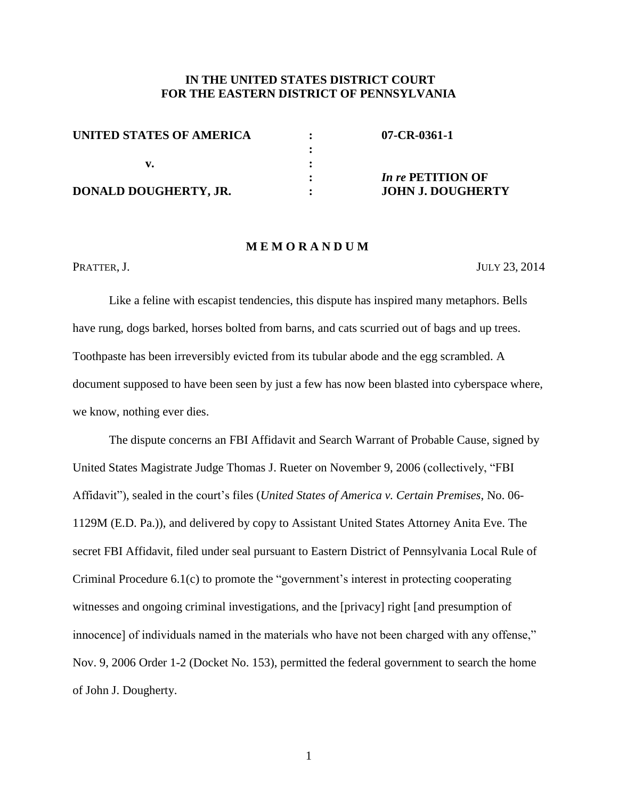## **IN THE UNITED STATES DISTRICT COURT FOR THE EASTERN DISTRICT OF PENNSYLVANIA**

| UNITED STATES OF AMERICA | $07$ -CR-0361-1          |
|--------------------------|--------------------------|
|                          |                          |
|                          |                          |
|                          | <i>In re</i> PETITION OF |
| DONALD DOUGHERTY, JR.    | <b>JOHN J. DOUGHERTY</b> |

#### **M E M O R A N D U M**

PRATTER, J. JULY 23, 2014

Like a feline with escapist tendencies, this dispute has inspired many metaphors. Bells have rung, dogs barked, horses bolted from barns, and cats scurried out of bags and up trees. Toothpaste has been irreversibly evicted from its tubular abode and the egg scrambled. A document supposed to have been seen by just a few has now been blasted into cyberspace where, we know, nothing ever dies.

The dispute concerns an FBI Affidavit and Search Warrant of Probable Cause, signed by United States Magistrate Judge Thomas J. Rueter on November 9, 2006 (collectively, "FBI Affidavit"), sealed in the court's files (*United States of America v. Certain Premises*, No. 06- 1129M (E.D. Pa.)), and delivered by copy to Assistant United States Attorney Anita Eve. The secret FBI Affidavit, filed under seal pursuant to Eastern District of Pennsylvania Local Rule of Criminal Procedure 6.1(c) to promote the "government's interest in protecting cooperating witnesses and ongoing criminal investigations, and the [privacy] right [and presumption of innocence] of individuals named in the materials who have not been charged with any offense," Nov. 9, 2006 Order 1-2 (Docket No. 153), permitted the federal government to search the home of John J. Dougherty.

1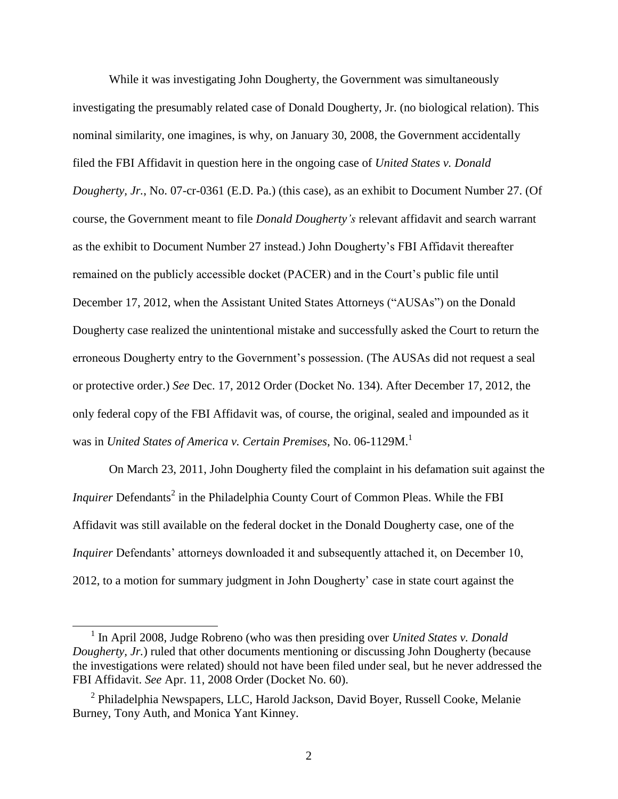While it was investigating John Dougherty, the Government was simultaneously investigating the presumably related case of Donald Dougherty, Jr. (no biological relation). This nominal similarity, one imagines, is why, on January 30, 2008, the Government accidentally filed the FBI Affidavit in question here in the ongoing case of *United States v. Donald Dougherty, Jr.*, No. 07-cr-0361 (E.D. Pa.) (this case), as an exhibit to Document Number 27. (Of course, the Government meant to file *Donald Dougherty's* relevant affidavit and search warrant as the exhibit to Document Number 27 instead.) John Dougherty's FBI Affidavit thereafter remained on the publicly accessible docket (PACER) and in the Court's public file until December 17, 2012, when the Assistant United States Attorneys ("AUSAs") on the Donald Dougherty case realized the unintentional mistake and successfully asked the Court to return the erroneous Dougherty entry to the Government's possession. (The AUSAs did not request a seal or protective order.) *See* Dec. 17, 2012 Order (Docket No. 134). After December 17, 2012, the only federal copy of the FBI Affidavit was, of course, the original, sealed and impounded as it was in *United States of America v. Certain Premises*, No. 06-1129M.<sup>1</sup>

<span id="page-1-0"></span>On March 23, 2011, John Dougherty filed the complaint in his defamation suit against the *Inquirer* Defendants<sup>2</sup> in the Philadelphia County Court of Common Pleas. While the FBI Affidavit was still available on the federal docket in the Donald Dougherty case, one of the *Inquirer* Defendants' attorneys downloaded it and subsequently attached it, on December 10, 2012, to a motion for summary judgment in John Dougherty' case in state court against the

l

<sup>&</sup>lt;sup>1</sup> In April 2008, Judge Robreno (who was then presiding over *United States v. Donald Dougherty, Jr.*) ruled that other documents mentioning or discussing John Dougherty (because the investigations were related) should not have been filed under seal, but he never addressed the FBI Affidavit. *See* Apr. 11, 2008 Order (Docket No. 60).

<sup>&</sup>lt;sup>2</sup> Philadelphia Newspapers, LLC, Harold Jackson, David Boyer, Russell Cooke, Melanie Burney, Tony Auth, and Monica Yant Kinney.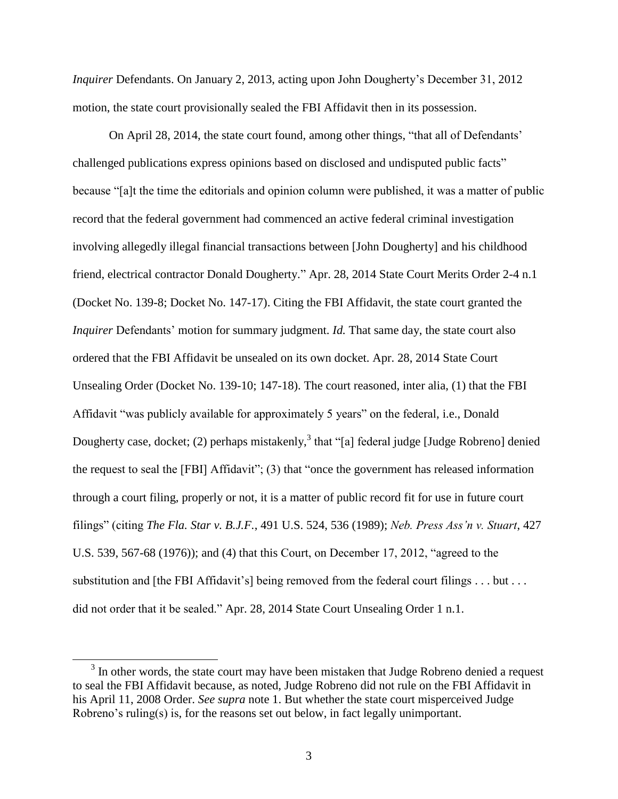*Inquirer* Defendants. On January 2, 2013, acting upon John Dougherty's December 31, 2012 motion, the state court provisionally sealed the FBI Affidavit then in its possession.

On April 28, 2014, the state court found, among other things, "that all of Defendants' challenged publications express opinions based on disclosed and undisputed public facts" because "[a]t the time the editorials and opinion column were published, it was a matter of public record that the federal government had commenced an active federal criminal investigation involving allegedly illegal financial transactions between [John Dougherty] and his childhood friend, electrical contractor Donald Dougherty." Apr. 28, 2014 State Court Merits Order 2-4 n.1 (Docket No. 139-8; Docket No. 147-17). Citing the FBI Affidavit, the state court granted the *Inquirer* Defendants' motion for summary judgment. *Id.* That same day, the state court also ordered that the FBI Affidavit be unsealed on its own docket. Apr. 28, 2014 State Court Unsealing Order (Docket No. 139-10; 147-18). The court reasoned, inter alia, (1) that the FBI Affidavit "was publicly available for approximately 5 years" on the federal, i.e., Donald Dougherty case, docket; (2) perhaps mistakenly,  $3$  that "[a] federal judge [Judge Robreno] denied the request to seal the [FBI] Affidavit"; (3) that "once the government has released information through a court filing, properly or not, it is a matter of public record fit for use in future court filings" (citing *The Fla. Star v. B.J.F.*, 491 U.S. 524, 536 (1989); *Neb. Press Ass'n v. Stuart*, 427 U.S. 539, 567-68 (1976)); and (4) that this Court, on December 17, 2012, "agreed to the substitution and [the FBI Affidavit's] being removed from the federal court filings . . . but . . . did not order that it be sealed." Apr. 28, 2014 State Court Unsealing Order 1 n.1.

<span id="page-2-0"></span> $3$  In other words, the state court may have been mistaken that Judge Robreno denied a request to seal the FBI Affidavit because, as noted, Judge Robreno did not rule on the FBI Affidavit in his April 11, 2008 Order. *See supra* note [1.](#page-1-0) But whether the state court misperceived Judge Robreno's ruling(s) is, for the reasons set out below, in fact legally unimportant.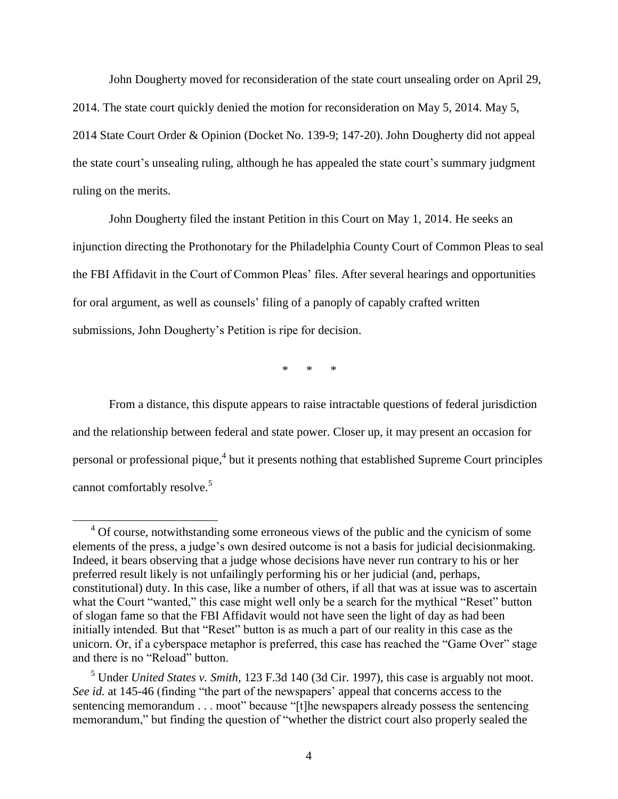John Dougherty moved for reconsideration of the state court unsealing order on April 29, 2014. The state court quickly denied the motion for reconsideration on May 5, 2014. May 5, 2014 State Court Order & Opinion (Docket No. 139-9; 147-20). John Dougherty did not appeal the state court's unsealing ruling, although he has appealed the state court's summary judgment ruling on the merits.

John Dougherty filed the instant Petition in this Court on May 1, 2014. He seeks an injunction directing the Prothonotary for the Philadelphia County Court of Common Pleas to seal the FBI Affidavit in the Court of Common Pleas' files. After several hearings and opportunities for oral argument, as well as counsels' filing of a panoply of capably crafted written submissions, John Dougherty's Petition is ripe for decision.

<span id="page-3-0"></span>*\* \* \**

From a distance, this dispute appears to raise intractable questions of federal jurisdiction and the relationship between federal and state power. Closer up, it may present an occasion for personal or professional pique,<sup>4</sup> but it presents nothing that established Supreme Court principles cannot comfortably resolve.<sup>5</sup>

<sup>&</sup>lt;sup>4</sup> Of course, notwithstanding some erroneous views of the public and the cynicism of some elements of the press, a judge's own desired outcome is not a basis for judicial decisionmaking. Indeed, it bears observing that a judge whose decisions have never run contrary to his or her preferred result likely is not unfailingly performing his or her judicial (and, perhaps, constitutional) duty. In this case, like a number of others, if all that was at issue was to ascertain what the Court "wanted," this case might well only be a search for the mythical "Reset" button of slogan fame so that the FBI Affidavit would not have seen the light of day as had been initially intended. But that "Reset" button is as much a part of our reality in this case as the unicorn. Or, if a cyberspace metaphor is preferred, this case has reached the "Game Over" stage and there is no "Reload" button.

<sup>5</sup> Under *United States v. Smith*, 123 F.3d 140 (3d Cir. 1997), this case is arguably not moot. *See id.* at 145-46 (finding "the part of the newspapers' appeal that concerns access to the sentencing memorandum . . . moot" because "[t]he newspapers already possess the sentencing memorandum," but finding the question of "whether the district court also properly sealed the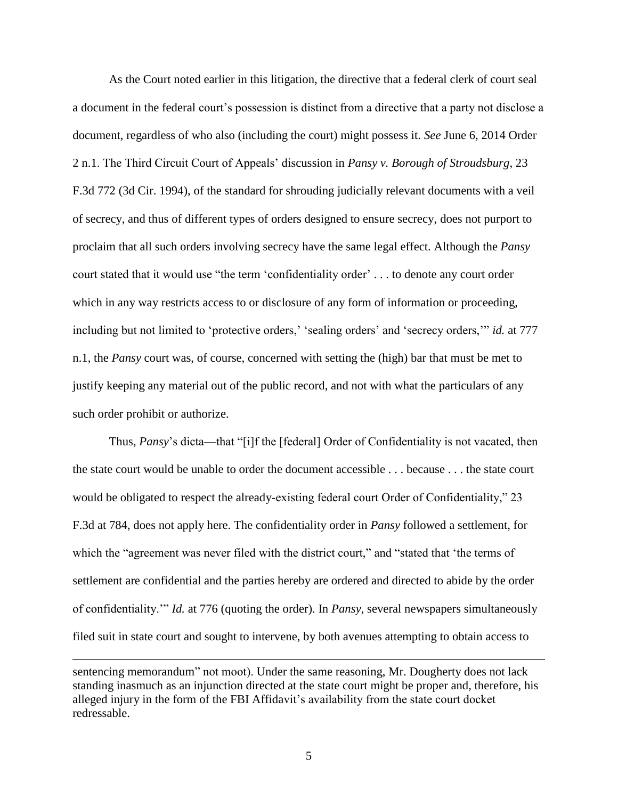As the Court noted earlier in this litigation, the directive that a federal clerk of court seal a document in the federal court's possession is distinct from a directive that a party not disclose a document, regardless of who also (including the court) might possess it. *See* June 6, 2014 Order 2 n.1. The Third Circuit Court of Appeals' discussion in *Pansy v. Borough of Stroudsburg*, 23 F.3d 772 (3d Cir. 1994), of the standard for shrouding judicially relevant documents with a veil of secrecy, and thus of different types of orders designed to ensure secrecy, does not purport to proclaim that all such orders involving secrecy have the same legal effect. Although the *Pansy* court stated that it would use "the term 'confidentiality order' . . . to denote any court order which in any way restricts access to or disclosure of any form of information or proceeding, including but not limited to 'protective orders,' 'sealing orders' and 'secrecy orders,'" *id.* at 777 n.1, the *Pansy* court was, of course, concerned with setting the (high) bar that must be met to justify keeping any material out of the public record, and not with what the particulars of any such order prohibit or authorize.

Thus, *Pansy*'s dicta—that "[i]f the [federal] Order of Confidentiality is not vacated, then the state court would be unable to order the document accessible . . . because . . . the state court would be obligated to respect the already-existing federal court Order of Confidentiality," 23 F.3d at 784, does not apply here. The confidentiality order in *Pansy* followed a settlement, for which the "agreement was never filed with the district court," and "stated that 'the terms of settlement are confidential and the parties hereby are ordered and directed to abide by the order of confidentiality.'" *Id.* at 776 (quoting the order). In *Pansy*, several newspapers simultaneously filed suit in state court and sought to intervene, by both avenues attempting to obtain access to

sentencing memorandum" not moot). Under the same reasoning, Mr. Dougherty does not lack standing inasmuch as an injunction directed at the state court might be proper and, therefore, his alleged injury in the form of the FBI Affidavit's availability from the state court docket redressable.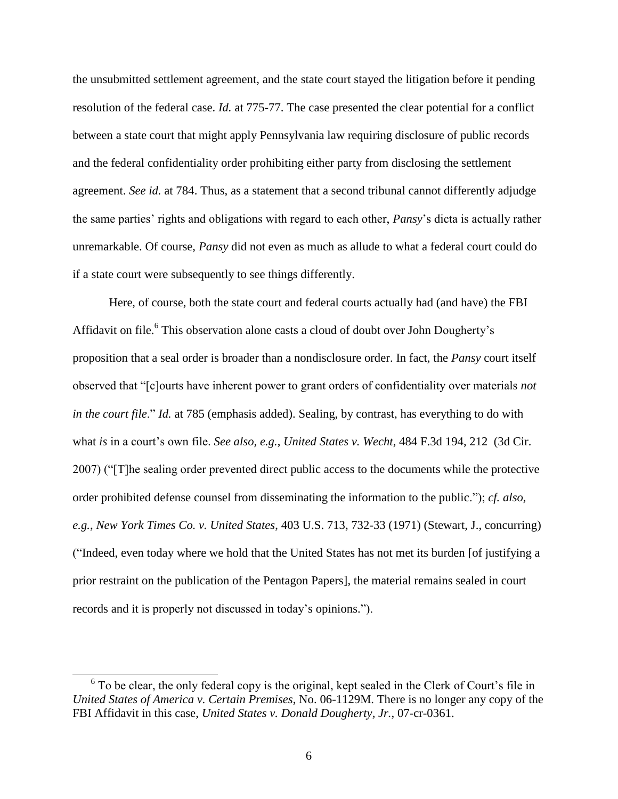the unsubmitted settlement agreement, and the state court stayed the litigation before it pending resolution of the federal case. *Id.* at 775-77. The case presented the clear potential for a conflict between a state court that might apply Pennsylvania law requiring disclosure of public records and the federal confidentiality order prohibiting either party from disclosing the settlement agreement. *See id.* at 784. Thus, as a statement that a second tribunal cannot differently adjudge the same parties' rights and obligations with regard to each other, *Pansy*'s dicta is actually rather unremarkable. Of course, *Pansy* did not even as much as allude to what a federal court could do if a state court were subsequently to see things differently.

Here, of course, both the state court and federal courts actually had (and have) the FBI Affidavit on file.<sup>6</sup> This observation alone casts a cloud of doubt over John Dougherty's proposition that a seal order is broader than a nondisclosure order. In fact, the *Pansy* court itself observed that "[c]ourts have inherent power to grant orders of confidentiality over materials *not in the court file*." *Id.* at 785 (emphasis added). Sealing, by contrast, has everything to do with what *is* in a court's own file. *See also, e.g.*, *United States v. Wecht*, 484 F.3d 194, 212 (3d Cir. 2007) ("[T]he sealing order prevented direct public access to the documents while the protective order prohibited defense counsel from disseminating the information to the public."); *cf. also, e.g.*, *New York Times Co. v. United States*, 403 U.S. 713, 732-33 (1971) (Stewart, J., concurring) ("Indeed, even today where we hold that the United States has not met its burden [of justifying a prior restraint on the publication of the Pentagon Papers], the material remains sealed in court records and it is properly not discussed in today's opinions.").

 $6$  To be clear, the only federal copy is the original, kept sealed in the Clerk of Court's file in *United States of America v. Certain Premises*, No. 06-1129M. There is no longer any copy of the FBI Affidavit in this case, *United States v. Donald Dougherty, Jr.*, 07-cr-0361.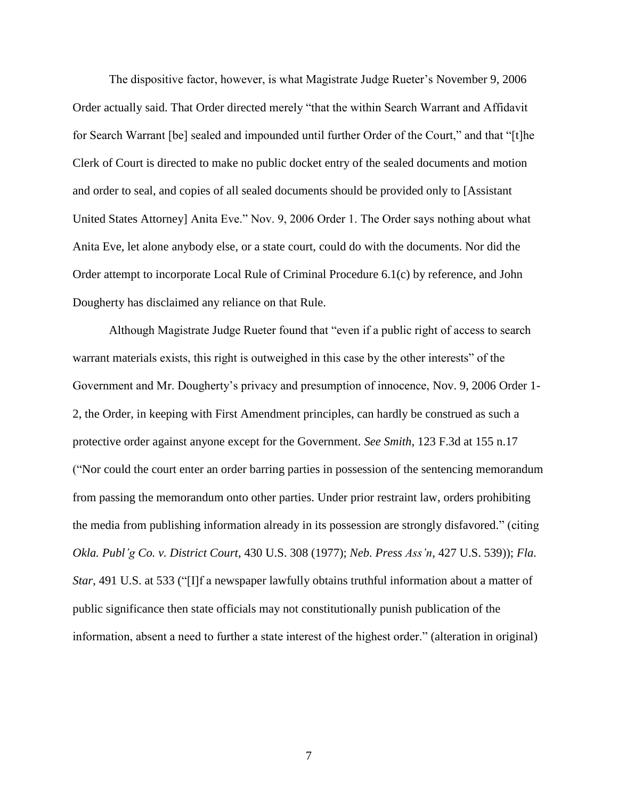The dispositive factor, however, is what Magistrate Judge Rueter's November 9, 2006 Order actually said. That Order directed merely "that the within Search Warrant and Affidavit for Search Warrant [be] sealed and impounded until further Order of the Court," and that "[t]he Clerk of Court is directed to make no public docket entry of the sealed documents and motion and order to seal, and copies of all sealed documents should be provided only to [Assistant United States Attorney] Anita Eve." Nov. 9, 2006 Order 1. The Order says nothing about what Anita Eve, let alone anybody else, or a state court, could do with the documents. Nor did the Order attempt to incorporate Local Rule of Criminal Procedure 6.1(c) by reference, and John Dougherty has disclaimed any reliance on that Rule.

Although Magistrate Judge Rueter found that "even if a public right of access to search warrant materials exists, this right is outweighed in this case by the other interests" of the Government and Mr. Dougherty's privacy and presumption of innocence, Nov. 9, 2006 Order 1- 2, the Order, in keeping with First Amendment principles, can hardly be construed as such a protective order against anyone except for the Government. *See Smith*, 123 F.3d at 155 n.17 ("Nor could the court enter an order barring parties in possession of the sentencing memorandum from passing the memorandum onto other parties. Under prior restraint law, orders prohibiting the media from publishing information already in its possession are strongly disfavored." (citing *Okla. Publ'g Co. v. District Court*, 430 U.S. 308 (1977); *Neb. Press Ass'n*, 427 U.S. 539)); *Fla. Star*, 491 U.S. at 533 ("[I]f a newspaper lawfully obtains truthful information about a matter of public significance then state officials may not constitutionally punish publication of the information, absent a need to further a state interest of the highest order." (alteration in original)

7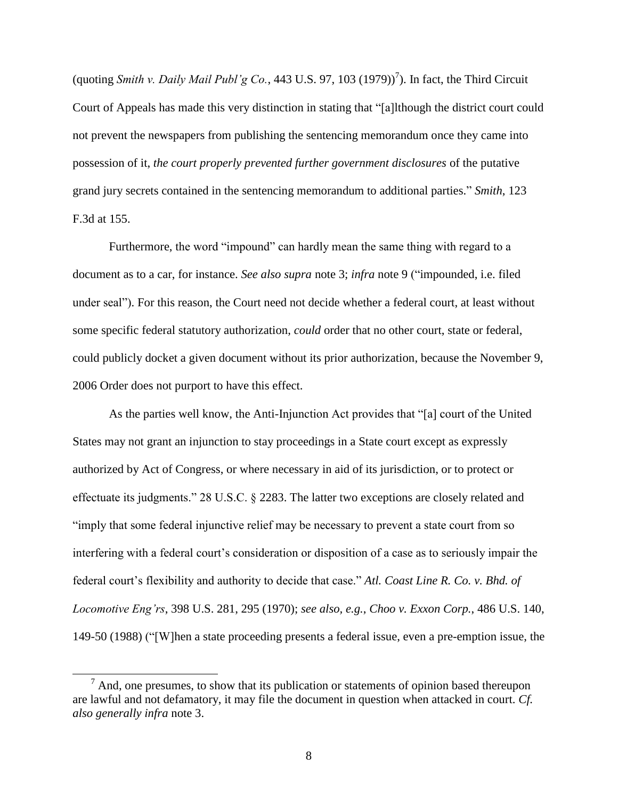<span id="page-7-0"></span>(quoting *Smith v. Daily Mail Publ'g Co.*, 443 U.S. 97, 103 (1979))<sup>7</sup>). In fact, the Third Circuit Court of Appeals has made this very distinction in stating that "[a]lthough the district court could not prevent the newspapers from publishing the sentencing memorandum once they came into possession of it, *the court properly prevented further government disclosures* of the putative grand jury secrets contained in the sentencing memorandum to additional parties." *Smith*, 123 F.3d at 155.

Furthermore, the word "impound" can hardly mean the same thing with regard to a document as to a car, for instance. *See also supra* note [3;](#page-2-0) *infra* note [9](#page-8-0) ("impounded, i.e. filed under seal"). For this reason, the Court need not decide whether a federal court, at least without some specific federal statutory authorization, *could* order that no other court, state or federal, could publicly docket a given document without its prior authorization, because the November 9, 2006 Order does not purport to have this effect.

As the parties well know, the Anti-Injunction Act provides that "[a] court of the United States may not grant an injunction to stay proceedings in a State court except as expressly authorized by Act of Congress, or where necessary in aid of its jurisdiction, or to protect or effectuate its judgments." 28 U.S.C. § 2283. The latter two exceptions are closely related and "imply that some federal injunctive relief may be necessary to prevent a state court from so interfering with a federal court's consideration or disposition of a case as to seriously impair the federal court's flexibility and authority to decide that case." *Atl. Coast Line R. Co. v. Bhd. of Locomotive Eng'rs*, 398 U.S. 281, 295 (1970); *see also, e.g.*, *Choo v. Exxon Corp.*, 486 U.S. 140, 149-50 (1988) ("[W]hen a state proceeding presents a federal issue, even a pre-emption issue, the

 $<sup>7</sup>$  And, one presumes, to show that its publication or statements of opinion based thereupon</sup> are lawful and not defamatory, it may file the document in question when attacked in court. *Cf. also generally infra* note [3.](#page-2-0)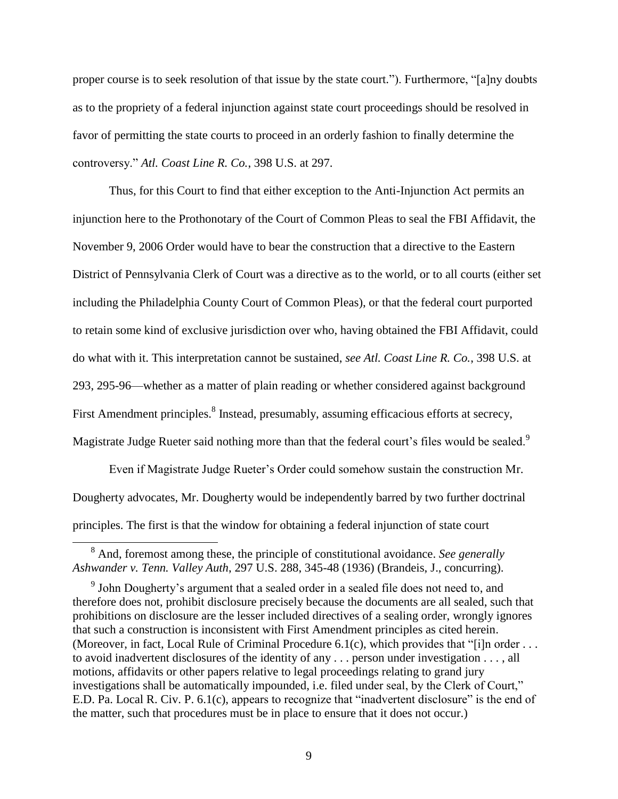proper course is to seek resolution of that issue by the state court."). Furthermore, "[a]ny doubts as to the propriety of a federal injunction against state court proceedings should be resolved in favor of permitting the state courts to proceed in an orderly fashion to finally determine the controversy." *Atl. Coast Line R. Co.*, 398 U.S. at 297.

Thus, for this Court to find that either exception to the Anti-Injunction Act permits an injunction here to the Prothonotary of the Court of Common Pleas to seal the FBI Affidavit, the November 9, 2006 Order would have to bear the construction that a directive to the Eastern District of Pennsylvania Clerk of Court was a directive as to the world, or to all courts (either set including the Philadelphia County Court of Common Pleas), or that the federal court purported to retain some kind of exclusive jurisdiction over who, having obtained the FBI Affidavit, could do what with it. This interpretation cannot be sustained, *see Atl. Coast Line R. Co.*, 398 U.S. at 293, 295-96—whether as a matter of plain reading or whether considered against background First Amendment principles.<sup>8</sup> Instead, presumably, assuming efficacious efforts at secrecy, Magistrate Judge Rueter said nothing more than that the federal court's files would be sealed.<sup>9</sup>

<span id="page-8-0"></span>Even if Magistrate Judge Rueter's Order could somehow sustain the construction Mr. Dougherty advocates, Mr. Dougherty would be independently barred by two further doctrinal principles. The first is that the window for obtaining a federal injunction of state court

<sup>8</sup> And, foremost among these, the principle of constitutional avoidance. *See generally Ashwander v. Tenn. Valley Auth*, 297 U.S. 288, 345-48 (1936) (Brandeis, J., concurring).

<sup>&</sup>lt;sup>9</sup> John Dougherty's argument that a sealed order in a sealed file does not need to, and therefore does not, prohibit disclosure precisely because the documents are all sealed, such that prohibitions on disclosure are the lesser included directives of a sealing order, wrongly ignores that such a construction is inconsistent with First Amendment principles as cited herein. (Moreover, in fact, Local Rule of Criminal Procedure 6.1(c), which provides that "[i]n order . . . to avoid inadvertent disclosures of the identity of any . . . person under investigation . . . , all motions, affidavits or other papers relative to legal proceedings relating to grand jury investigations shall be automatically impounded, i.e. filed under seal, by the Clerk of Court," E.D. Pa. Local R. Civ. P. 6.1(c), appears to recognize that "inadvertent disclosure" is the end of the matter, such that procedures must be in place to ensure that it does not occur.)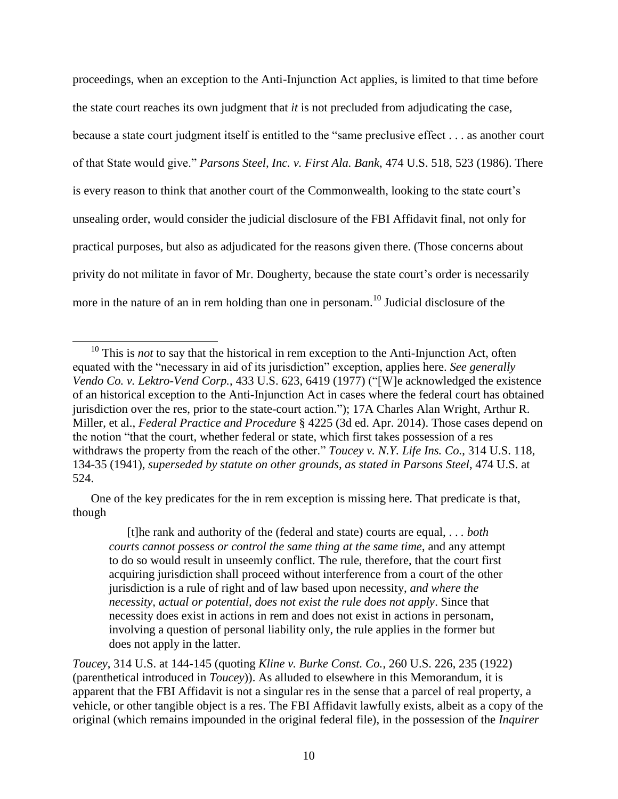proceedings, when an exception to the Anti-Injunction Act applies, is limited to that time before the state court reaches its own judgment that *it* is not precluded from adjudicating the case, because a state court judgment itself is entitled to the "same preclusive effect . . . as another court of that State would give." *Parsons Steel, Inc. v. First Ala. Bank*, 474 U.S. 518, 523 (1986). There is every reason to think that another court of the Commonwealth, looking to the state court's unsealing order, would consider the judicial disclosure of the FBI Affidavit final, not only for practical purposes, but also as adjudicated for the reasons given there. (Those concerns about privity do not militate in favor of Mr. Dougherty, because the state court's order is necessarily more in the nature of an in rem holding than one in personam.<sup>10</sup> Judicial disclosure of the

l

One of the key predicates for the in rem exception is missing here. That predicate is that, though

[t]he rank and authority of the (federal and state) courts are equal, . . *. both courts cannot possess or control the same thing at the same time*, and any attempt to do so would result in unseemly conflict. The rule, therefore, that the court first acquiring jurisdiction shall proceed without interference from a court of the other jurisdiction is a rule of right and of law based upon necessity, *and where the necessity, actual or potential, does not exist the rule does not apply*. Since that necessity does exist in actions in rem and does not exist in actions in personam, involving a question of personal liability only, the rule applies in the former but does not apply in the latter.

<sup>&</sup>lt;sup>10</sup> This is *not* to say that the historical in rem exception to the Anti-Injunction Act, often equated with the "necessary in aid of its jurisdiction" exception, applies here. *See generally Vendo Co. v. Lektro-Vend Corp.*, 433 U.S. 623, 6419 (1977) ("[W]e acknowledged the existence of an historical exception to the Anti-Injunction Act in cases where the federal court has obtained jurisdiction over the res, prior to the state-court action."); 17A Charles Alan Wright, Arthur R. Miller, et al., *Federal Practice and Procedure* § 4225 (3d ed. Apr. 2014). Those cases depend on the notion "that the court, whether federal or state, which first takes possession of a res withdraws the property from the reach of the other." *Toucey v. N.Y. Life Ins. Co.*, 314 U.S. 118, 134-35 (1941), *superseded by statute on other grounds, as stated in Parsons Steel*, 474 U.S. at 524.

*Toucey*, 314 U.S. at 144-145 (quoting *Kline v. Burke Const. Co.*, 260 U.S. 226, 235 (1922) (parenthetical introduced in *Toucey*)). As alluded to elsewhere in this Memorandum, it is apparent that the FBI Affidavit is not a singular res in the sense that a parcel of real property, a vehicle, or other tangible object is a res. The FBI Affidavit lawfully exists, albeit as a copy of the original (which remains impounded in the original federal file), in the possession of the *Inquirer*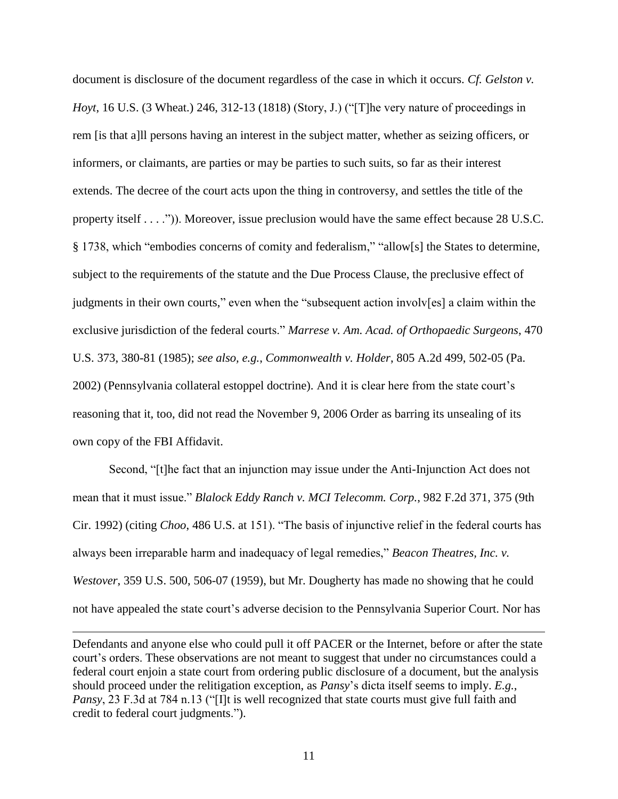document is disclosure of the document regardless of the case in which it occurs. *Cf. Gelston v. Hoyt*, 16 U.S. (3 Wheat.) 246, 312-13 (1818) (Story, J.) ("[T]he very nature of proceedings in rem [is that a]ll persons having an interest in the subject matter, whether as seizing officers, or informers, or claimants, are parties or may be parties to such suits, so far as their interest extends. The decree of the court acts upon the thing in controversy, and settles the title of the property itself . . . .")). Moreover, issue preclusion would have the same effect because 28 U.S.C. § 1738, which "embodies concerns of comity and federalism," "allow[s] the States to determine, subject to the requirements of the statute and the Due Process Clause, the preclusive effect of judgments in their own courts," even when the "subsequent action involv[es] a claim within the exclusive jurisdiction of the federal courts." *Marrese v. Am. Acad. of Orthopaedic Surgeons*, 470 U.S. 373, 380-81 (1985); *see also, e.g.*, *Commonwealth v. Holder*, 805 A.2d 499, 502-05 (Pa. 2002) (Pennsylvania collateral estoppel doctrine). And it is clear here from the state court's reasoning that it, too, did not read the November 9, 2006 Order as barring its unsealing of its own copy of the FBI Affidavit.

Second, "[t]he fact that an injunction may issue under the Anti-Injunction Act does not mean that it must issue." *Blalock Eddy Ranch v. MCI Telecomm. Corp.*, 982 F.2d 371, 375 (9th Cir. 1992) (citing *Choo*, 486 U.S. at 151). "The basis of injunctive relief in the federal courts has always been irreparable harm and inadequacy of legal remedies," *Beacon Theatres, Inc. v. Westover*, 359 U.S. 500, 506-07 (1959), but Mr. Dougherty has made no showing that he could not have appealed the state court's adverse decision to the Pennsylvania Superior Court. Nor has

Defendants and anyone else who could pull it off PACER or the Internet, before or after the state court's orders. These observations are not meant to suggest that under no circumstances could a federal court enjoin a state court from ordering public disclosure of a document, but the analysis should proceed under the relitigation exception, as *Pansy*'s dicta itself seems to imply. *E.g.*, *Pansy*, 23 F.3d at 784 n.13 ("I]t is well recognized that state courts must give full faith and credit to federal court judgments.").

l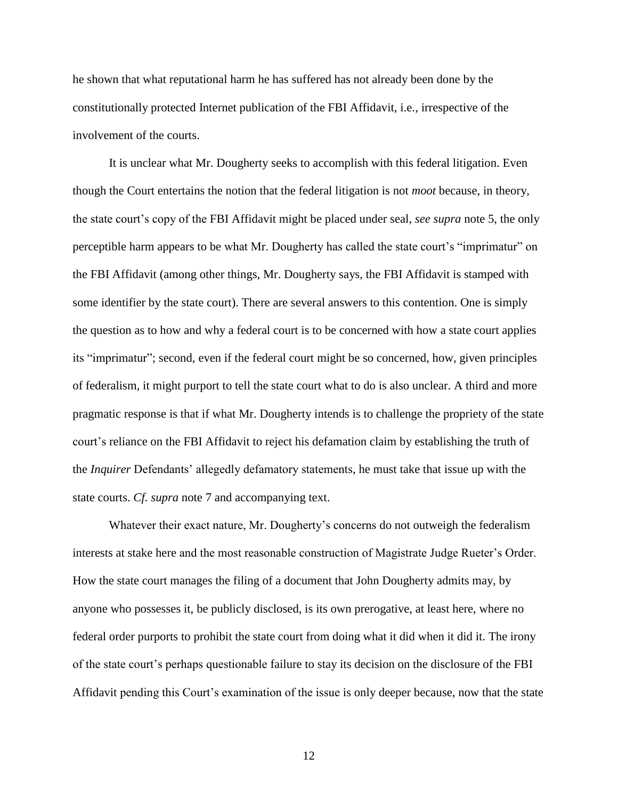he shown that what reputational harm he has suffered has not already been done by the constitutionally protected Internet publication of the FBI Affidavit, i.e., irrespective of the involvement of the courts.

It is unclear what Mr. Dougherty seeks to accomplish with this federal litigation. Even though the Court entertains the notion that the federal litigation is not *moot* because, in theory, the state court's copy of the FBI Affidavit might be placed under seal, *see supra* note [5,](#page-3-0) the only perceptible harm appears to be what Mr. Dougherty has called the state court's "imprimatur" on the FBI Affidavit (among other things, Mr. Dougherty says, the FBI Affidavit is stamped with some identifier by the state court). There are several answers to this contention. One is simply the question as to how and why a federal court is to be concerned with how a state court applies its "imprimatur"; second, even if the federal court might be so concerned, how, given principles of federalism, it might purport to tell the state court what to do is also unclear. A third and more pragmatic response is that if what Mr. Dougherty intends is to challenge the propriety of the state court's reliance on the FBI Affidavit to reject his defamation claim by establishing the truth of the *Inquirer* Defendants' allegedly defamatory statements, he must take that issue up with the state courts. *Cf. supra* note [7](#page-7-0) and accompanying text.

Whatever their exact nature, Mr. Dougherty's concerns do not outweigh the federalism interests at stake here and the most reasonable construction of Magistrate Judge Rueter's Order. How the state court manages the filing of a document that John Dougherty admits may, by anyone who possesses it, be publicly disclosed, is its own prerogative, at least here, where no federal order purports to prohibit the state court from doing what it did when it did it. The irony of the state court's perhaps questionable failure to stay its decision on the disclosure of the FBI Affidavit pending this Court's examination of the issue is only deeper because, now that the state

12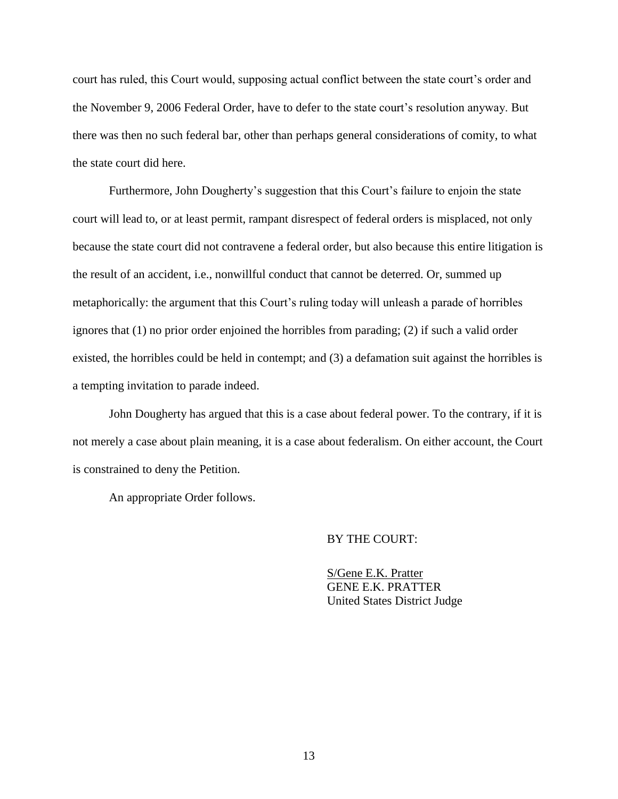court has ruled, this Court would, supposing actual conflict between the state court's order and the November 9, 2006 Federal Order, have to defer to the state court's resolution anyway. But there was then no such federal bar, other than perhaps general considerations of comity, to what the state court did here.

Furthermore, John Dougherty's suggestion that this Court's failure to enjoin the state court will lead to, or at least permit, rampant disrespect of federal orders is misplaced, not only because the state court did not contravene a federal order, but also because this entire litigation is the result of an accident, i.e., nonwillful conduct that cannot be deterred. Or, summed up metaphorically: the argument that this Court's ruling today will unleash a parade of horribles ignores that (1) no prior order enjoined the horribles from parading; (2) if such a valid order existed, the horribles could be held in contempt; and (3) a defamation suit against the horribles is a tempting invitation to parade indeed.

John Dougherty has argued that this is a case about federal power. To the contrary, if it is not merely a case about plain meaning, it is a case about federalism. On either account, the Court is constrained to deny the Petition.

An appropriate Order follows.

## BY THE COURT:

S/Gene E.K. Pratter GENE E.K. PRATTER United States District Judge